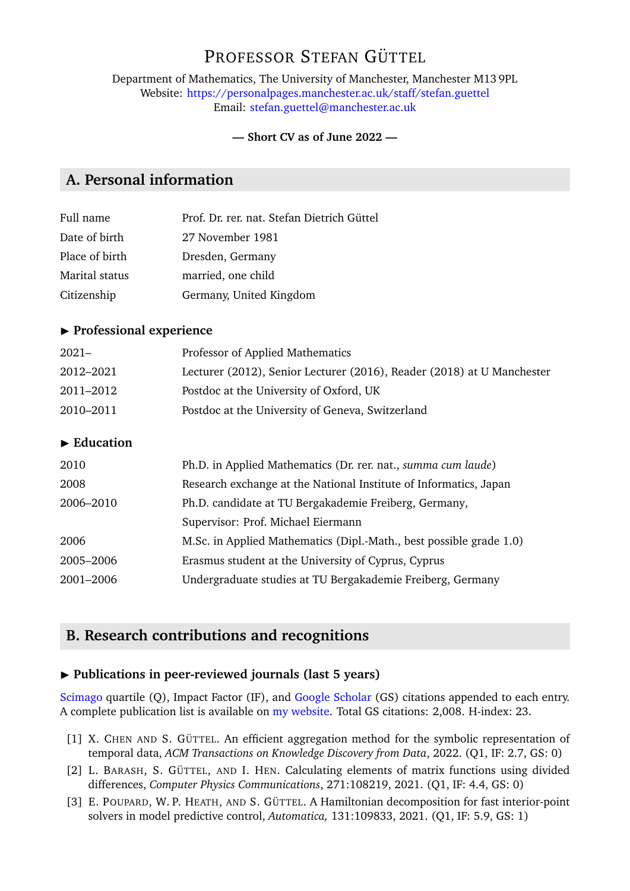# PROFESSOR STEFAN GÜTTEL

Department of Mathematics, The University of Manchester, Manchester M13 9PL Website: <https://personalpages.manchester.ac.uk/staff/stefan.guettel> Email: [stefan.guettel@manchester.ac.uk](mailto:stefan.guettel@manchester.ac.uk)

#### **— Short CV as of June 2022 —**

# **A. Personal information**

| Prof. Dr. rer. nat. Stefan Dietrich Güttel |
|--------------------------------------------|
|                                            |
|                                            |
|                                            |
|                                            |
|                                            |

### **Professional experience**

| $2021 -$  | Professor of Applied Mathematics                                       |
|-----------|------------------------------------------------------------------------|
| 2012–2021 | Lecturer (2012), Senior Lecturer (2016), Reader (2018) at U Manchester |
| 2011–2012 | Postdoc at the University of Oxford, UK                                |
| 2010-2011 | Postdoc at the University of Geneva, Switzerland                       |

#### **Education**

| 2010      | Ph.D. in Applied Mathematics (Dr. rer. nat., summa cum laude)       |
|-----------|---------------------------------------------------------------------|
| 2008      | Research exchange at the National Institute of Informatics, Japan   |
| 2006-2010 | Ph.D. candidate at TU Bergakademie Freiberg, Germany,               |
|           | Supervisor: Prof. Michael Eiermann                                  |
| 2006      | M.Sc. in Applied Mathematics (Dipl.-Math., best possible grade 1.0) |
| 2005-2006 | Erasmus student at the University of Cyprus, Cyprus                 |
| 2001-2006 | Undergraduate studies at TU Bergakademie Freiberg, Germany          |
|           |                                                                     |

## **B. Research contributions and recognitions**

#### ▶ Publications in peer-reviewed journals (last 5 years)

[Scimago](https://www.scimagojr.com/journalrank.php?area=2600) quartile (Q), Impact Factor (IF), and [Google Scholar](https://scholar.google.de/citations?user=zey3HmMAAAAJ&hl=en) (GS) citations appended to each entry. A complete publication list is available on [my website.](https://personalpages.manchester.ac.uk/staff/stefan.guettel) Total GS citations: 2,008. H-index: 23.

- [1] X. CHEN AND S. GÜTTEL. An efficient aggregation method for the symbolic representation of temporal data, *ACM Transactions on Knowledge Discovery from Data*, 2022. (Q1, IF: 2.7, GS: 0)
- [2] L. BARASH, S. GÜTTEL, AND I. HEN. Calculating elements of matrix functions using divided differences, *Computer Physics Communications*, 271:108219, 2021. (Q1, IF: 4.4, GS: 0)
- [3] E. POUPARD, W. P. HEATH, AND S. GÜTTEL. A Hamiltonian decomposition for fast interior-point solvers in model predictive control, *Automatica,* 131:109833, 2021. (Q1, IF: 5.9, GS: 1)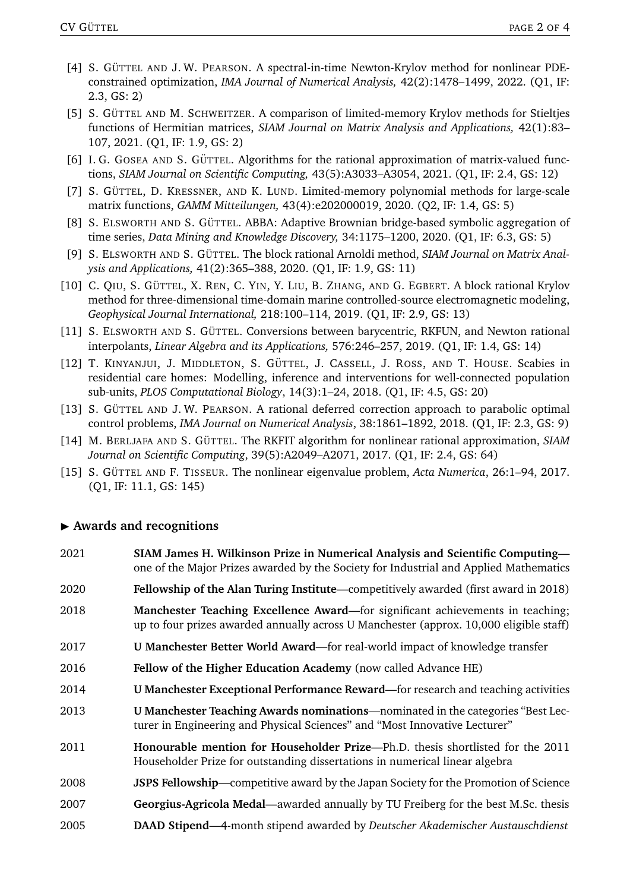- [4] S. GÜTTEL AND J.W. PEARSON. A spectral-in-time Newton-Krylov method for nonlinear PDEconstrained optimization, *IMA Journal of Numerical Analysis,* 42(2):1478–1499, 2022. (Q1, IF: 2.3, GS: 2)
- [5] S. GÜTTEL AND M. SCHWEITZER. A comparison of limited-memory Krylov methods for Stieltjes functions of Hermitian matrices, *SIAM Journal on Matrix Analysis and Applications,* 42(1):83– 107, 2021. (Q1, IF: 1.9, GS: 2)
- [6] I. G. GOSEA AND S. GÜTTEL. Algorithms for the rational approximation of matrix-valued functions, *SIAM Journal on Scientific Computing,* 43(5):A3033–A3054, 2021. (Q1, IF: 2.4, GS: 12)
- [7] S. GÜTTEL, D. KRESSNER, AND K. LUND. Limited-memory polynomial methods for large-scale matrix functions, *GAMM Mitteilungen,* 43(4):e202000019, 2020. (Q2, IF: 1.4, GS: 5)
- [8] S. ELSWORTH AND S. GÜTTEL. ABBA: Adaptive Brownian bridge-based symbolic aggregation of time series, *Data Mining and Knowledge Discovery,* 34:1175–1200, 2020. (Q1, IF: 6.3, GS: 5)
- [9] S. ELSWORTH AND S. GÜTTEL. The block rational Arnoldi method, *SIAM Journal on Matrix Analysis and Applications,* 41(2):365–388, 2020. (Q1, IF: 1.9, GS: 11)
- [10] C. QIU, S. GÜTTEL, X. REN, C. YIN, Y. LIU, B. ZHANG, AND G. EGBERT. A block rational Krylov method for three-dimensional time-domain marine controlled-source electromagnetic modeling, *Geophysical Journal International,* 218:100–114, 2019. (Q1, IF: 2.9, GS: 13)
- [11] S. ELSWORTH AND S. GÜTTEL. Conversions between barycentric, RKFUN, and Newton rational interpolants, *Linear Algebra and its Applications,* 576:246–257, 2019. (Q1, IF: 1.4, GS: 14)
- [12] T. KINYANJUI, J. MIDDLETON, S. GÜTTEL, J. CASSELL, J. ROSS, AND T. HOUSE. Scabies in residential care homes: Modelling, inference and interventions for well-connected population sub-units, *PLOS Computational Biology*, 14(3):1–24, 2018. (Q1, IF: 4.5, GS: 20)
- [13] S. GÜTTEL AND J.W. PEARSON. A rational deferred correction approach to parabolic optimal control problems, *IMA Journal on Numerical Analysis*, 38:1861–1892, 2018. (Q1, IF: 2.3, GS: 9)
- [14] M. BERLJAFA AND S. GÜTTEL. The RKFIT algorithm for nonlinear rational approximation, *SIAM Journal on Scientific Computing*, 39(5):A2049–A2071, 2017. (Q1, IF: 2.4, GS: 64)
- [15] S. GÜTTEL AND F. TISSEUR. The nonlinear eigenvalue problem, *Acta Numerica*, 26:1–94, 2017. (Q1, IF: 11.1, GS: 145)

#### I **Awards and recognitions**

| 2021 | SIAM James H. Wilkinson Prize in Numerical Analysis and Scientific Computing-<br>one of the Major Prizes awarded by the Society for Industrial and Applied Mathematics          |
|------|---------------------------------------------------------------------------------------------------------------------------------------------------------------------------------|
| 2020 | <b>Fellowship of the Alan Turing Institute—competitively awarded (first award in 2018)</b>                                                                                      |
| 2018 | <b>Manchester Teaching Excellence Award—for significant achievements in teaching;</b><br>up to four prizes awarded annually across U Manchester (approx. 10,000 eligible staff) |
| 2017 | <b>U Manchester Better World Award—for real-world impact of knowledge transfer</b>                                                                                              |
| 2016 | Fellow of the Higher Education Academy (now called Advance HE)                                                                                                                  |
| 2014 | <b>U Manchester Exceptional Performance Reward—for research and teaching activities</b>                                                                                         |
| 2013 | U Manchester Teaching Awards nominations—nominated in the categories "Best Lec-<br>turer in Engineering and Physical Sciences" and "Most Innovative Lecturer"                   |
| 2011 | Honourable mention for Householder Prize—Ph.D. thesis shortlisted for the 2011<br>Householder Prize for outstanding dissertations in numerical linear algebra                   |
| 2008 | <b>JSPS Fellowship—competitive award by the Japan Society for the Promotion of Science</b>                                                                                      |
| 2007 | Georgius-Agricola Medal—awarded annually by TU Freiberg for the best M.Sc. thesis                                                                                               |
| 2005 | DAAD Stipend—4-month stipend awarded by Deutscher Akademischer Austauschdienst                                                                                                  |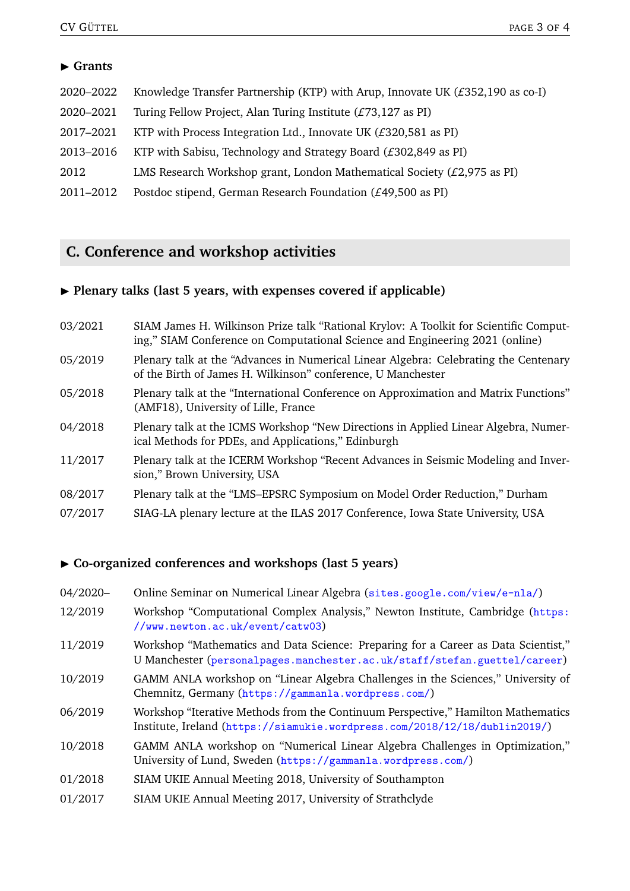## $\blacktriangleright$  Grants

| 2020-2022 | Knowledge Transfer Partnership (KTP) with Arup, Innovate UK $(E352, 190$ as co-I) |
|-----------|-----------------------------------------------------------------------------------|
| 2020-2021 | Turing Fellow Project, Alan Turing Institute (£73,127 as PI)                      |
| 2017-2021 | KTP with Process Integration Ltd., Innovate UK $(E320,581$ as PI)                 |
| 2013-2016 | KTP with Sabisu, Technology and Strategy Board $(E302,849$ as PI)                 |
| 2012      | LMS Research Workshop grant, London Mathematical Society $(E2, 975$ as PI)        |
| 2011-2012 | Postdoc stipend, German Research Foundation (£49,500 as PI)                       |

# **C. Conference and workshop activities**

# **Plenary talks (last 5 years, with expenses covered if applicable)**

| 03/2021 | SIAM James H. Wilkinson Prize talk "Rational Krylov: A Toolkit for Scientific Comput-<br>ing," SIAM Conference on Computational Science and Engineering 2021 (online) |
|---------|-----------------------------------------------------------------------------------------------------------------------------------------------------------------------|
| 05/2019 | Plenary talk at the "Advances in Numerical Linear Algebra: Celebrating the Centenary<br>of the Birth of James H. Wilkinson" conference, U Manchester                  |
| 05/2018 | Plenary talk at the "International Conference on Approximation and Matrix Functions"<br>(AMF18), University of Lille, France                                          |
| 04/2018 | Plenary talk at the ICMS Workshop "New Directions in Applied Linear Algebra, Numer-<br>ical Methods for PDEs, and Applications," Edinburgh                            |
| 11/2017 | Plenary talk at the ICERM Workshop "Recent Advances in Seismic Modeling and Inver-<br>sion," Brown University, USA                                                    |
| 08/2017 | Plenary talk at the "LMS-EPSRC Symposium on Model Order Reduction," Durham                                                                                            |
| 07/2017 | SIAG-LA plenary lecture at the ILAS 2017 Conference, Iowa State University, USA                                                                                       |
|         |                                                                                                                                                                       |

## I **Co-organized conferences and workshops (last 5 years)**

| 04/2020- | Online Seminar on Numerical Linear Algebra (sites.google.com/view/e-nla/)                                                                                       |
|----------|-----------------------------------------------------------------------------------------------------------------------------------------------------------------|
| 12/2019  | Workshop "Computational Complex Analysis," Newton Institute, Cambridge (https:<br>//www.newton.ac.uk/event/catw03)                                              |
| 11/2019  | Workshop "Mathematics and Data Science: Preparing for a Career as Data Scientist,"<br>U Manchester (personalpages.manchester.ac.uk/staff/stefan.guettel/career) |
| 10/2019  | GAMM ANLA workshop on "Linear Algebra Challenges in the Sciences," University of<br>Chemnitz, Germany (https://gammanla.wordpress.com/)                         |
| 06/2019  | Workshop "Iterative Methods from the Continuum Perspective," Hamilton Mathematics<br>Institute, Ireland (https://siamukie.wordpress.com/2018/12/18/dublin2019/) |
| 10/2018  | GAMM ANLA workshop on "Numerical Linear Algebra Challenges in Optimization,"<br>University of Lund, Sweden (https://gammanla.wordpress.com/)                    |
| 01/2018  | SIAM UKIE Annual Meeting 2018, University of Southampton                                                                                                        |
| 01/2017  | SIAM UKIE Annual Meeting 2017, University of Strathclyde                                                                                                        |